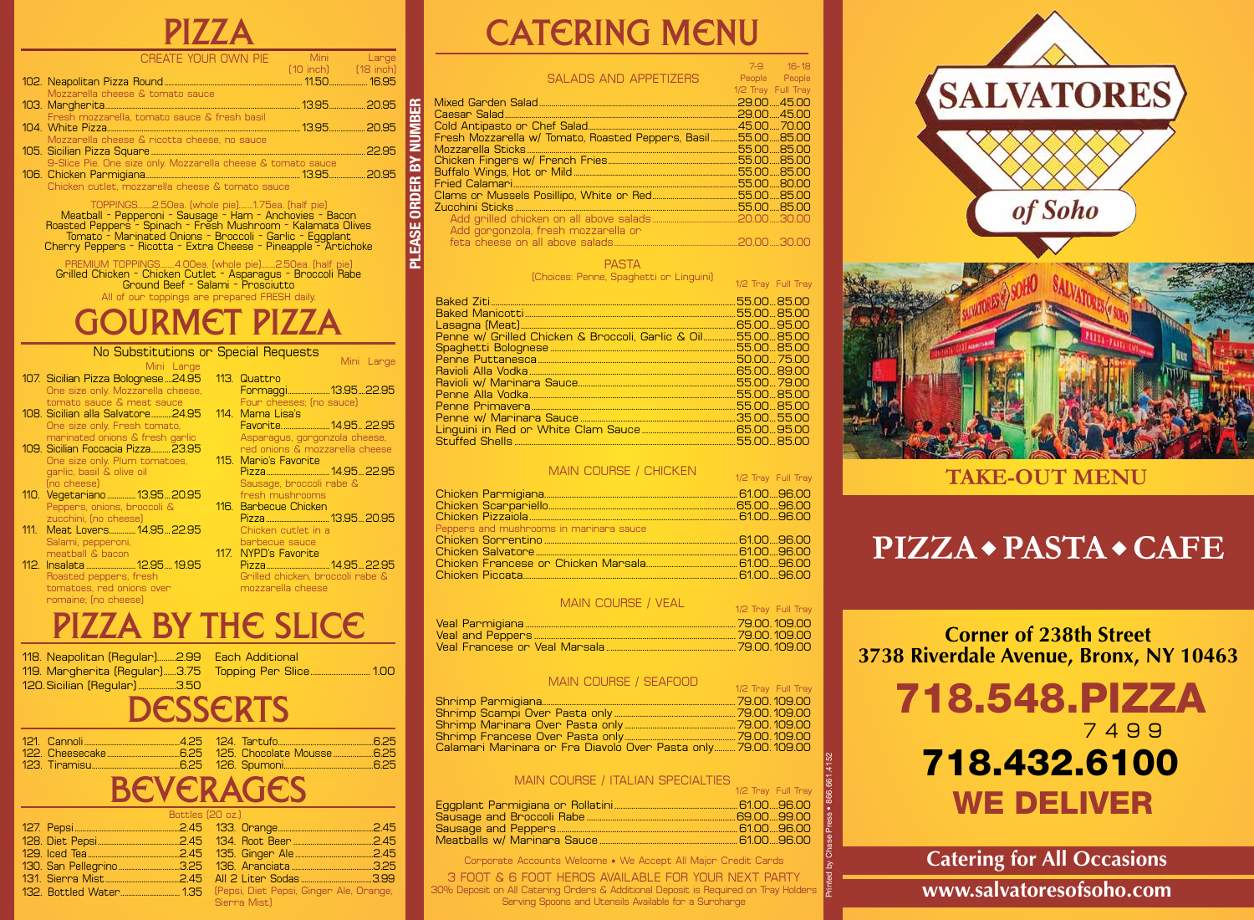|--|

| CREATE YOUR OWN PIE                                          | <b>Example 2016</b> Mini Mini Lange |  |
|--------------------------------------------------------------|-------------------------------------|--|
|                                                              | $[10$ inch $]$ $[18$ inch $]$       |  |
|                                                              |                                     |  |
| Mozzarella cheese & tomato sauce                             |                                     |  |
|                                                              |                                     |  |
| Fresh mozzarella, tomato sauce & fresh basil                 |                                     |  |
|                                                              |                                     |  |
| Mozzarella cheese & ricotta cheese, no sauce                 |                                     |  |
|                                                              |                                     |  |
| 9-Slice Pie. One size only. Mozzarella cheese & tomato sauce |                                     |  |
|                                                              |                                     |  |
| Chicken cutlet, mozzarella cheese & tomato sauce             |                                     |  |

TOPPINGS........2.50ea. (whole pie)........1.75ea. (half pie) Meatball ~ Pepperoni ~ Sausage ~ Ham ~ Anchovies ~ Bacon Roasted Peppers ~ Spinach ~ Fresh Mushroom ~ Kalamata Olives Tomato ~ Marinated Onions ~ Broccoli ~ Garlic ~ Eggplant Cherry Peppers ~ Ricotta ~ Extra Cheese ~ Pineapple ~ Artichoke

PREMIUM TOPPINGS........4.00ea. (whole pie)........2.50ea. (half pie) Grilled Chicken ~ Chicken Cutlet ~ Asparagus ~ Broccoli Rabe Ground Beef ~ Salami ~ Prosciutto All of our toppings are prepared FRESH daily.

gourmet pizza

#### 107. Sicilian Pizza Bolognese....24.95 One size only. Mozzarella cheese, tomato sauce & meat sauce 108. Sicilian alla Salvatore...........24.95 One size only. Fresh tomato, marinated onions & fresh garlic 109. Sicilian Foccacia Pizza..........23.95 One size only. Plum tomatoes, garlic, basil & olive oil (no cheese) 110. Vegetariano ...............13.95...20.95 Peppers, onions, broccoli & zucchini, (no cheese) 111. Meat Lovers..............14.95...22.95 113. Quattro Formaggi......................13.95....22.95 Four cheeses; (no sauce) 114. Mama Lisa's Favorite. ........................14.95.. .22.95 Asparagus, gorgonzola cheese, red onions & mozzarella cheese 115. Mario's Favorite Pizza.................................14.95...22.95 Sausage, broccoli rabe & fresh mushrooms 116. Barbecue Chicken Pizza.....................................13.95...20.95 Chicken cutlet in a Mini Large No Substitutions or Special Requests Mini Large

 Salami, pepperoni, meatball & bacon 112. Insalata ..........................12.95....19.95 Roasted peppers, fresh tomatoes, red onions over

romaine; (no cheese)

 barbecue sauce 117. NYPD's Favorite Pizza.................................14.95...22.95 **PLEASE ORDER BY NUMBER**

PLEASE ORDER

**NINN AB** 

 Grilled chicken, broccoli rabe & mozzarella cheese

## PIZZA BY THE SLICE

| 118. Neapolitan (Regular)2.99   Each Additional |                                                      |
|-------------------------------------------------|------------------------------------------------------|
|                                                 | 119. Margherita (Regular)3.75 Topping Per Slice 1.00 |
| 120. Sicilian (Regular) 3.50                    |                                                      |
|                                                 | <b>DESSERTS</b>                                      |
|                                                 |                                                      |

|  |  | $\mathbf{r}$ , and $\mathbf{r}$ are $\mathbf{r}$ , and $\mathbf{r}$ are $\mathbf{r}$ |  |
|--|--|--------------------------------------------------------------------------------------|--|

### **BEVERAGES**

| Bottles (20 oz.) |              |  |
|------------------|--------------|--|
|                  |              |  |
|                  |              |  |
|                  |              |  |
|                  |              |  |
|                  |              |  |
|                  |              |  |
|                  | Sierra Mist) |  |

# **CATERING MENU**

SALADS AND APPETIZERS 7-9 16-18 People People 1/2 Tray Full Tray Mixed Garden Salad..................................................................................................29.00.....45.00 Caesar Salad...................................................................................................................29.00.....45.00 Cold Antipasto or Chef Salad. Fresh Mozzarella w/ Tomato, Roasted Peppers, Basil .............55.00.....85.00 Mozzarella Sticks........................................................................................................55.00.....85.00 Chicken Fingers w/ French Fries................................................................55.00.....85.00 Buffalo Wings, Hot or Mild .................................................................................55.00.....85.00 Fried Calamari...............................................................................................................55.00.....80.00 Clams or Mussels Posillipo, White or Red..........................................55.00.....85.00 Zucchini Sticks...

| Add gorgonzola, fresh mozzarella or |  |
|-------------------------------------|--|
|                                     |  |
|                                     |  |

#### PASTA

(Choices: Penne, Spaghetti or Linguini) 1/2 Tray Full Tray

|                                                                            | 55.00 85.00  |
|----------------------------------------------------------------------------|--------------|
|                                                                            |              |
|                                                                            | 65.00 95.00  |
| <u>Penne w/ Grilled Chicken &amp; Broccoli, Garlic &amp; Oil55.0085.00</u> |              |
|                                                                            | .55.00.85.00 |
|                                                                            | 50.00 75.00  |
|                                                                            | -65.00 89.00 |
|                                                                            |              |
|                                                                            | 55,00  85,00 |
|                                                                            | 55.00 85.00  |
|                                                                            | .35.00.55.00 |
|                                                                            |              |
|                                                                            | .55.0085.00  |
|                                                                            |              |

#### MAIN COURSE / CHICKEN

|                                         | 1/2 Tray Full Tray |
|-----------------------------------------|--------------------|
|                                         |                    |
|                                         |                    |
|                                         |                    |
| Peppers and mushrooms in marinara sauce |                    |
|                                         |                    |
|                                         |                    |
|                                         |                    |
|                                         |                    |
|                                         |                    |

#### MAIN COURSE / VEAL

| 1/2 Tray Full Tray |
|--------------------|
|                    |
|                    |
|                    |
|                    |

#### MAIN COURSE / SEAFOOD

|                                                              | 1/2 Tray Full Tray |
|--------------------------------------------------------------|--------------------|
|                                                              |                    |
|                                                              |                    |
|                                                              |                    |
|                                                              |                    |
| Calamari Marinara or Fra Diavolo Over Pasta only79.00.109.00 |                    |

#### MAIN COURSE / ITALIAN SPECIALTIES

| 1/2 Tray Full Tray |
|--------------------|
|                    |
| -69.00 -99.00      |
|                    |
| - 6100 9600        |
|                    |

Printed by Chase Press • 866.661.4152

Corporate Accounts Welcome • We Accept All Major Credit Cards

3 FOOT & 6 FOOT HEROS AVAILABLE FOR YOUR NEXT PARTY 30% Deposit on All Catering Orders & Additional Deposit is Required on Tray Holders Serving Spoons and Utensils Available for a Surcharge





#### **TAKE-OUT MENU**

### **PIZZA + PASTA + CAFE**

**Corner of 238th Street 3738 Riverdale Avenue, Bronx, NY 10463**

### 718.548.PIZZA 7 4 9 9 WE DELIVER 718.432.6100

#### **Catering for All Occasions**

**www.salvatoresofsoho.com**